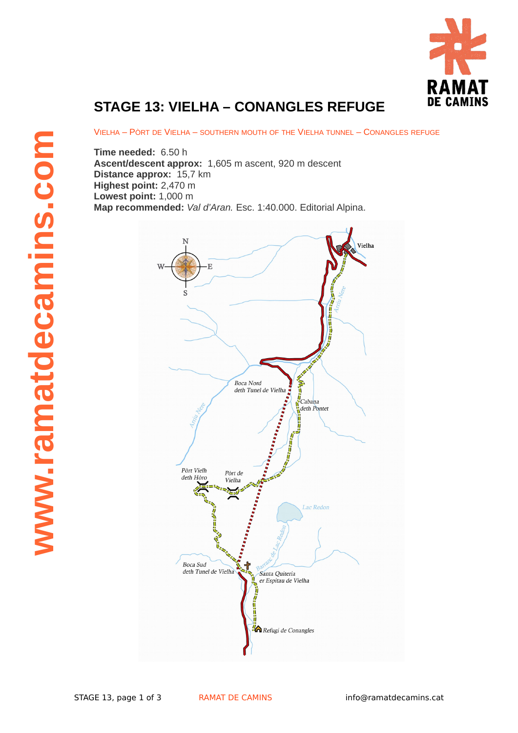

## **STAGE 13: VIELHA – CONANGLES REFUGE**

VIELHA – PÒRT DE VIELHA – SOUTHERN MOUTH OF THE VIELHA TUNNEL – CONANGLES REFUGE

**Time needed:** 6.50 h **Ascent/descent approx:** 1,605 m ascent, 920 m descent **Distance approx:** 15,7 km **Highest point:** 2,470 m **Lowest point:** 1,000 m **Map recommended:** *Val d'Aran.* Esc. 1:40.000. Editorial Alpina.

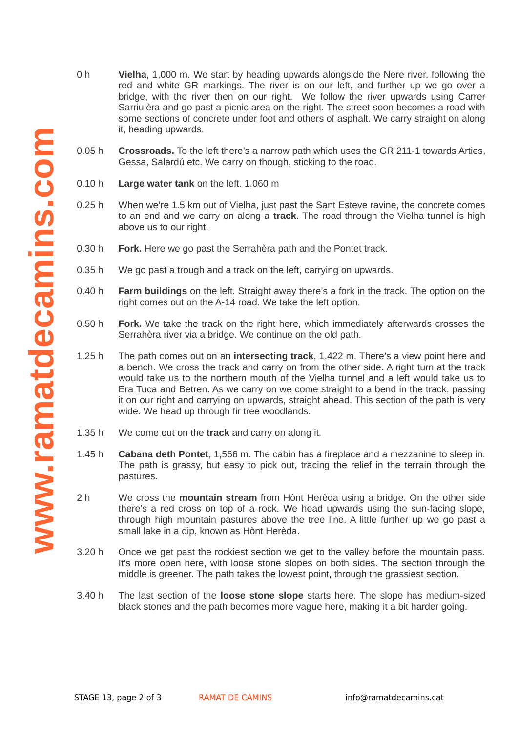- 0 h **Vielha**, 1,000 m. We start by heading upwards alongside the Nere river, following the red and white GR markings. The river is on our left, and further up we go over a bridge, with the river then on our right. We follow the river upwards using Carrer Sarriulèra and go past a picnic area on the right. The street soon becomes a road with some sections of concrete under foot and others of asphalt. We carry straight on along it, heading upwards.
- 0.05 h **Crossroads.** To the left there's a narrow path which uses the GR 211-1 towards Arties, Gessa, Salardú etc. We carry on though, sticking to the road.
- 0.10 h **Large water tank** on the left. 1,060 m
- 0.25 h When we're 1.5 km out of Vielha, just past the Sant Esteve ravine, the concrete comes to an end and we carry on along a **track**. The road through the Vielha tunnel is high above us to our right.
- 0.30 h **Fork.** Here we go past the Serrahèra path and the Pontet track.
- 0.35 h We go past a trough and a track on the left, carrying on upwards.
- $0.40h$ **Farm buildings** on the left. Straight away there's a fork in the track. The option on the right comes out on the A-14 road. We take the left option.
- 0.50 h **Fork.** We take the track on the right here, which immediately afterwards crosses the Serrahèra river via a bridge. We continue on the old path.
- 1.25 h The path comes out on an **intersecting track**, 1,422 m. There's a view point here and a bench. We cross the track and carry on from the other side. A right turn at the track would take us to the northern mouth of the Vielha tunnel and a left would take us to Era Tuca and Betren. As we carry on we come straight to a bend in the track, passing it on our right and carrying on upwards, straight ahead. This section of the path is very wide. We head up through fir tree woodlands.
- $1.35h$ We come out on the **track** and carry on along it.
- 1.45 h **Cabana deth Pontet**, 1,566 m. The cabin has a fireplace and a mezzanine to sleep in. The path is grassy, but easy to pick out, tracing the relief in the terrain through the pastures.
- 2 h We cross the **mountain stream** from Hònt Herèda using a bridge. On the other side there's a red cross on top of a rock. We head upwards using the sun-facing slope, through high mountain pastures above the tree line. A little further up we go past a small lake in a dip, known as Hònt Herèda.
- 3.20 h Once we get past the rockiest section we get to the valley before the mountain pass. It's more open here, with loose stone slopes on both sides. The section through the middle is greener. The path takes the lowest point, through the grassiest section.
- 3.40 h The last section of the **loose stone slope** starts here. The slope has medium-sized black stones and the path becomes more vague here, making it a bit harder going.